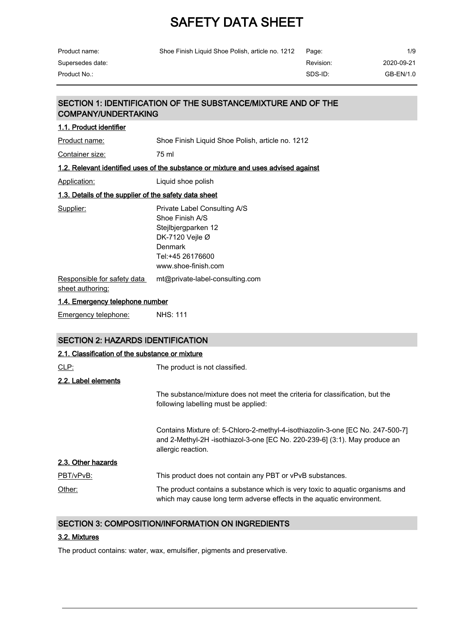| Product name:                                         | Shoe Finish Liquid Shoe Polish, article no. 1212                                                                                                  | Page:     | 1/9        |  |  |
|-------------------------------------------------------|---------------------------------------------------------------------------------------------------------------------------------------------------|-----------|------------|--|--|
| Supersedes date:                                      |                                                                                                                                                   | Revision: | 2020-09-21 |  |  |
| Product No.:                                          |                                                                                                                                                   | SDS-ID:   | GB-EN/1.0  |  |  |
|                                                       |                                                                                                                                                   |           |            |  |  |
| <b>COMPANY/UNDERTAKING</b>                            | SECTION 1: IDENTIFICATION OF THE SUBSTANCE/MIXTURE AND OF THE                                                                                     |           |            |  |  |
| 1.1. Product identifier                               |                                                                                                                                                   |           |            |  |  |
| Product name:                                         | Shoe Finish Liquid Shoe Polish, article no. 1212                                                                                                  |           |            |  |  |
| Container size:                                       | 75 ml                                                                                                                                             |           |            |  |  |
|                                                       | 1.2. Relevant identified uses of the substance or mixture and uses advised against                                                                |           |            |  |  |
| Application:                                          | Liquid shoe polish                                                                                                                                |           |            |  |  |
| 1.3. Details of the supplier of the safety data sheet |                                                                                                                                                   |           |            |  |  |
| Supplier:                                             | Private Label Consulting A/S<br>Shoe Finish A/S<br>Stejlbjergparken 12<br>DK-7120 Veile $Ø$<br>Denmark<br>Tel:+45 26176600<br>www.shoe-finish.com |           |            |  |  |
| Responsible for safety data<br>sheet authoring:       | mt@private-label-consulting.com                                                                                                                   |           |            |  |  |

#### 1.4. Emergency telephone number

Emergency telephone: NHS: 111

### SECTION 2: HAZARDS IDENTIFICATION

| 2.1. Classification of the substance or mixture |                                                                                                                                                                                    |
|-------------------------------------------------|------------------------------------------------------------------------------------------------------------------------------------------------------------------------------------|
| <u>CLP:</u>                                     | The product is not classified.                                                                                                                                                     |
| 2.2. Label elements                             |                                                                                                                                                                                    |
|                                                 | The substance/mixture does not meet the criteria for classification, but the<br>following labelling must be applied:                                                               |
|                                                 | Contains Mixture of: 5-Chloro-2-methyl-4-isothiazolin-3-one [EC No. 247-500-7]<br>and 2-Methyl-2H -isothiazol-3-one [EC No. 220-239-6] (3:1). May produce an<br>allergic reaction. |
| 2.3. Other hazards                              |                                                                                                                                                                                    |
| PBT/vPvB:                                       | This product does not contain any PBT or vPvB substances.                                                                                                                          |
| Other:                                          | The product contains a substance which is very toxic to aquatic organisms and<br>which may cause long term adverse effects in the aquatic environment.                             |

### SECTION 3: COMPOSITION/INFORMATION ON INGREDIENTS

### 3.2. Mixtures

The product contains: water, wax, emulsifier, pigments and preservative.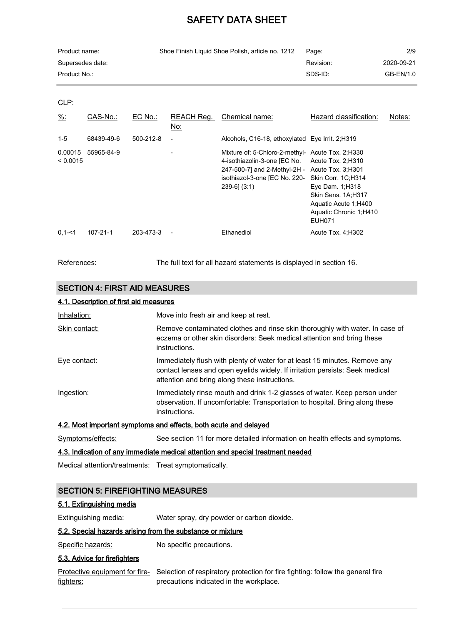| Product name:    | Shoe Finish Liquid Shoe Polish, article no. 1212 | Page:     | 2/9        |
|------------------|--------------------------------------------------|-----------|------------|
| Supersedes date: |                                                  | Revision: | 2020-09-21 |
| Product No.: .   |                                                  | SDS-ID:   | GB-EN/1.0  |

CLP:

| $\frac{9}{6}$ :     | CAS-No.:   | $EC$ No.: | REACH Reg.<br>No:        | Chemical name:                                                                                                                                                                                                                 | Hazard classification:                                                                                     | Notes: |
|---------------------|------------|-----------|--------------------------|--------------------------------------------------------------------------------------------------------------------------------------------------------------------------------------------------------------------------------|------------------------------------------------------------------------------------------------------------|--------|
| $1 - 5$             | 68439-49-6 | 500-212-8 | $\overline{\phantom{a}}$ | Alcohols, C16-18, ethoxylated Eye Irrit. 2; H319                                                                                                                                                                               |                                                                                                            |        |
| 0.00015<br>< 0.0015 | 55965-84-9 |           |                          | Mixture of: 5-Chloro-2-methyl- Acute Tox. 2:H330<br>4-isothiazolin-3-one [EC No. Acute Tox. 2; H310<br>247-500-7] and 2-Methyl-2H - Acute Tox. 3:H301<br>isothiazol-3-one [EC No. 220- Skin Corr. 1C;H314<br>$239-6$ ] $(3:1)$ | Eye Dam. 1; H318<br>Skin Sens. 1A;H317<br>Aquatic Acute 1; H400<br>Aquatic Chronic 1;H410<br><b>EUH071</b> |        |
| $0.1 - 51$          | 107-21-1   | 203-473-3 | $\overline{\phantom{a}}$ | Ethanediol                                                                                                                                                                                                                     | Acute Tox. 4:H302                                                                                          |        |

References: The full text for all hazard statements is displayed in section 16.

### SECTION 4: FIRST AID MEASURES

#### 4.1. Description of first aid measures

| Inhalation:       | Move into fresh air and keep at rest.                                                                                                                                                                       |
|-------------------|-------------------------------------------------------------------------------------------------------------------------------------------------------------------------------------------------------------|
| Skin contact:     | Remove contaminated clothes and rinse skin thoroughly with water. In case of<br>eczema or other skin disorders: Seek medical attention and bring these<br>instructions.                                     |
| Eye contact:      | Immediately flush with plenty of water for at least 15 minutes. Remove any<br>contact lenses and open eyelids widely. If irritation persists: Seek medical<br>attention and bring along these instructions. |
| Ingestion:        | Immediately rinse mouth and drink 1-2 glasses of water. Keep person under<br>observation. If uncomfortable: Transportation to hospital. Bring along these<br>instructions.                                  |
|                   | 4.2. Most important symptoms and effects, both acute and delayed                                                                                                                                            |
| Symptoms/effects: | See section 11 for more detailed information on health effects and symptoms.                                                                                                                                |

### 4.3. Indication of any immediate medical attention and special treatment needed

Medical attention/treatments: Treat symptomatically.

### SECTION 5: FIREFIGHTING MEASURES

#### 5.1. Extinguishing media

Extinguishing media: Water spray, dry powder or carbon dioxide.

#### 5.2. Special hazards arising from the substance or mixture

Specific hazards: No specific precautions.

### 5.3. Advice for firefighters

|                  | Protective equipment for fire-<br>Selection of respiratory protection for fire fighting: follow the general fire |
|------------------|------------------------------------------------------------------------------------------------------------------|
| <u>fighters:</u> | precautions indicated in the workplace.                                                                          |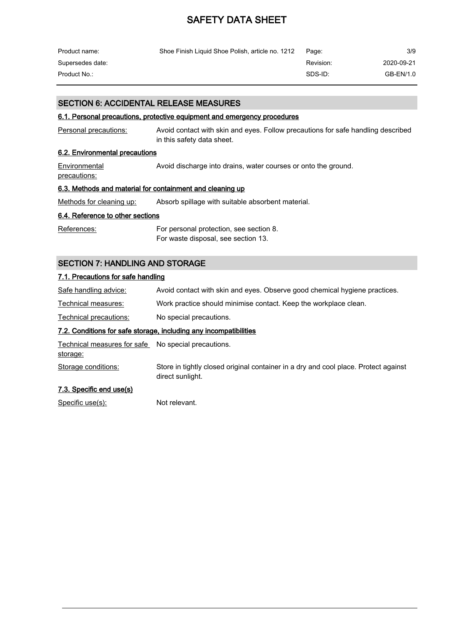| Product name:    | Shoe Finish Liquid Shoe Polish, article no. 1212 | Page:     | 3/9        |
|------------------|--------------------------------------------------|-----------|------------|
| Supersedes date: |                                                  | Revision: | 2020-09-21 |
| Product No.:     |                                                  | SDS-ID:   | GB-EN/1.0  |

### SECTION 6: ACCIDENTAL RELEASE MEASURES

### 6.1. Personal precautions, protective equipment and emergency procedures

| Personal precautions:                                     | Avoid contact with skin and eyes. Follow precautions for safe handling described<br>in this safety data sheet. |  |  |  |
|-----------------------------------------------------------|----------------------------------------------------------------------------------------------------------------|--|--|--|
| 6.2. Environmental precautions                            |                                                                                                                |  |  |  |
| Environmental<br>precautions:                             | Avoid discharge into drains, water courses or onto the ground.                                                 |  |  |  |
| 6.3. Methods and material for containment and cleaning up |                                                                                                                |  |  |  |

Methods for cleaning up: Absorb spillage with suitable absorbent material.

### 6.4. Reference to other sections

| References: | For personal protection, see section 8. |
|-------------|-----------------------------------------|
|             | For waste disposal, see section 13.     |

### SECTION 7: HANDLING AND STORAGE

### 7.1. Precautions for safe handling

| Safe handling advice:                               | Avoid contact with skin and eyes. Observe good chemical hygiene practices. |
|-----------------------------------------------------|----------------------------------------------------------------------------|
| Technical measures:                                 | Work practice should minimise contact. Keep the workplace clean.           |
| Technical precautions:                              | No special precautions.                                                    |
|                                                     | 7.2. Conditions for safe storage, including any incompatibilities          |
| Technical measures for safe No special precautions. |                                                                            |
| storage:                                            |                                                                            |

Storage conditions: Store in tightly closed original container in a dry and cool place. Protect against direct sunlight.

### 7.3. Specific end use(s)

Specific use(s): Not relevant.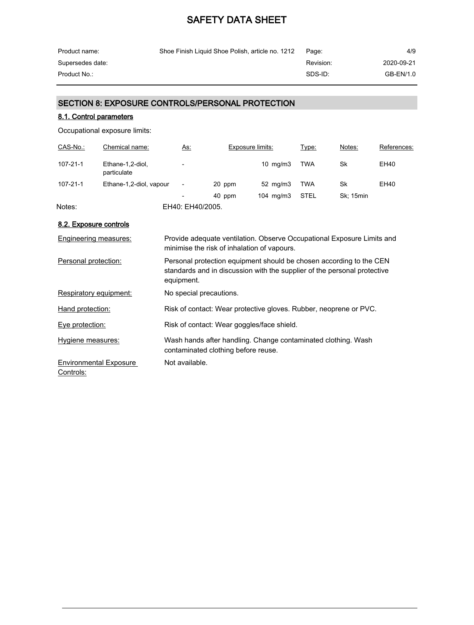| Product name:    | Shoe Finish Liquid Shoe Polish, article no. 1212 | Page:     | 4/9        |
|------------------|--------------------------------------------------|-----------|------------|
| Supersedes date: |                                                  | Revision: | 2020-09-21 |
| Product No.:     |                                                  | SDS-ID:   | GB-EN/1.0  |

### SECTION 8: EXPOSURE CONTROLS/PERSONAL PROTECTION

### 8.1. Control parameters

Occupational exposure limits:

| CAS-No.: | Chemical name:                  | <u>As:</u>               | Exposure limits: |                   | Type:      | Notes:    | References: |
|----------|---------------------------------|--------------------------|------------------|-------------------|------------|-----------|-------------|
| 107-21-1 | Ethane-1,2-diol,<br>particulate | $\overline{\phantom{a}}$ |                  | $10 \text{ mg/m}$ | <b>TWA</b> | Sk        | EH40        |
| 107-21-1 | Ethane-1,2-diol, vapour         | $\overline{\phantom{a}}$ | 20 ppm           | $52 \text{ mg/m}$ | <b>TWA</b> | Sk        | EH40        |
|          |                                 | $\overline{\phantom{a}}$ | 40 ppm           | 104 $mg/m3$       | STEL       | Sk; 15min |             |
| Notes:   |                                 | EH40: EH40/2005.         |                  |                   |            |           |             |

### 8.2. Exposure controls

| Engineering measures:                      | Provide adequate ventilation. Observe Occupational Exposure Limits and<br>minimise the risk of inhalation of vapours.                                         |
|--------------------------------------------|---------------------------------------------------------------------------------------------------------------------------------------------------------------|
| Personal protection:                       | Personal protection equipment should be chosen according to the CEN<br>standards and in discussion with the supplier of the personal protective<br>equipment. |
| Respiratory equipment:                     | No special precautions.                                                                                                                                       |
| Hand protection:                           | Risk of contact: Wear protective gloves. Rubber, neoprene or PVC.                                                                                             |
| Eye protection:                            | Risk of contact: Wear goggles/face shield.                                                                                                                    |
| Hygiene measures:                          | Wash hands after handling. Change contaminated clothing. Wash<br>contaminated clothing before reuse.                                                          |
| <b>Environmental Exposure</b><br>Controls: | Not available.                                                                                                                                                |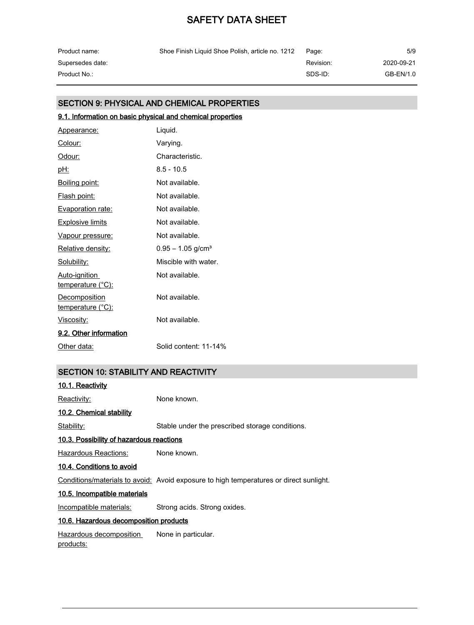| Product name:    | Shoe Finish Liquid Shoe Polish, article no. 1212 | Page:     | 5/9        |
|------------------|--------------------------------------------------|-----------|------------|
| Supersedes date: |                                                  | Revision: | 2020-09-21 |
| Product No.:     |                                                  | SDS-ID:   | GB-EN/1.0  |

### SECTION 9: PHYSICAL AND CHEMICAL PROPERTIES

### 9.1. Information on basic physical and chemical properties Appearance: Liquid. Colour: Varying. Odour: Characteristic. pH: 8.5 - 10.5 Boiling point: Not available. Flash point: Not available. Evaporation rate: Not available. **Explosive limits** Not available. Vapour pressure: Not available. Relative density: 0.95 - 1.05 g/cm<sup>3</sup> Solubility: Miscible with water. Auto-ignition temperature (°C): Not available. **Decomposition** temperature (°C): Not available. Viscosity: Not available. 9.2. Other information Other data: Solid content: 11-14%

### SECTION 10: STABILITY AND REACTIVITY

| 10.1. Reactivity                            |                                                                                        |
|---------------------------------------------|----------------------------------------------------------------------------------------|
| Reactivity:                                 | None known.                                                                            |
| 10.2. Chemical stability                    |                                                                                        |
| Stability:                                  | Stable under the prescribed storage conditions.                                        |
| 10.3. Possibility of hazardous reactions    |                                                                                        |
| Hazardous Reactions:                        | None known.                                                                            |
| 10.4. Conditions to avoid                   |                                                                                        |
|                                             | Conditions/materials to avoid: Avoid exposure to high temperatures or direct sunlight. |
| 10.5. Incompatible materials                |                                                                                        |
| Incompatible materials:                     | Strong acids. Strong oxides.                                                           |
| 10.6. Hazardous decomposition products      |                                                                                        |
| Hazardous decomposition<br><u>products:</u> | None in particular.                                                                    |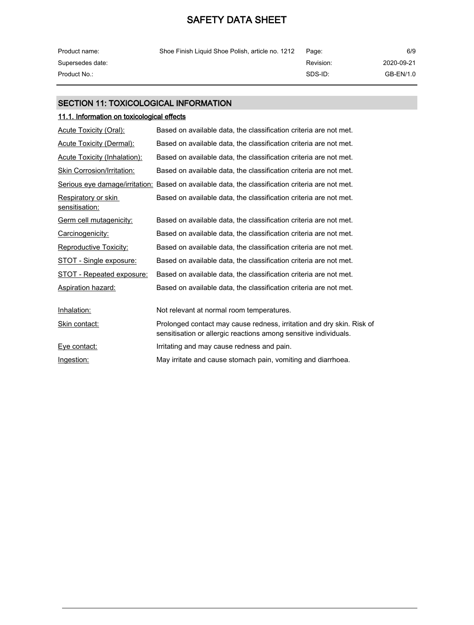| Product name:    | Shoe Finish Liquid Shoe Polish, article no. 1212 | Page:     | 6/9        |
|------------------|--------------------------------------------------|-----------|------------|
| Supersedes date: |                                                  | Revision: | 2020-09-21 |
| Product No.: .   |                                                  | SDS-ID:   | GB-EN/1.0  |

### SECTION 11: TOXICOLOGICAL INFORMATION

### 11.1. Information on toxicological effects

| <b>Acute Toxicity (Oral):</b>         | Based on available data, the classification criteria are not met.                                                                         |
|---------------------------------------|-------------------------------------------------------------------------------------------------------------------------------------------|
| <b>Acute Toxicity (Dermal):</b>       | Based on available data, the classification criteria are not met.                                                                         |
| <b>Acute Toxicity (Inhalation):</b>   | Based on available data, the classification criteria are not met.                                                                         |
| Skin Corrosion/Irritation:            | Based on available data, the classification criteria are not met.                                                                         |
|                                       | Serious eye damage/irritation: Based on available data, the classification criteria are not met.                                          |
| Respiratory or skin<br>sensitisation: | Based on available data, the classification criteria are not met.                                                                         |
| Germ cell mutagenicity:               | Based on available data, the classification criteria are not met.                                                                         |
| Carcinogenicity:                      | Based on available data, the classification criteria are not met.                                                                         |
| <b>Reproductive Toxicity:</b>         | Based on available data, the classification criteria are not met.                                                                         |
| <b>STOT - Single exposure:</b>        | Based on available data, the classification criteria are not met.                                                                         |
| <b>STOT - Repeated exposure:</b>      | Based on available data, the classification criteria are not met.                                                                         |
| <b>Aspiration hazard:</b>             | Based on available data, the classification criteria are not met.                                                                         |
|                                       |                                                                                                                                           |
| Inhalation:                           | Not relevant at normal room temperatures.                                                                                                 |
| Skin contact:                         | Prolonged contact may cause redness, irritation and dry skin. Risk of<br>sensitisation or allergic reactions among sensitive individuals. |
| Eye contact:                          | Irritating and may cause redness and pain.                                                                                                |
| Ingestion:                            | May irritate and cause stomach pain, vomiting and diarrhoea.                                                                              |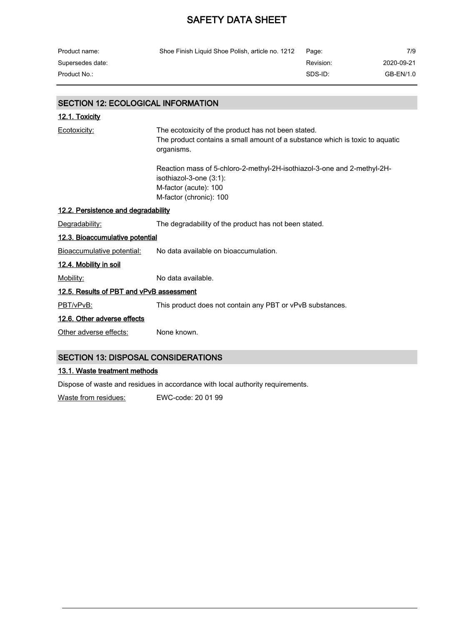| Shoe Finish Liquid Shoe Polish, article no. 1212 | Page:     | 7/9        |
|--------------------------------------------------|-----------|------------|
|                                                  | Revision: | 2020-09-21 |
|                                                  | SDS-ID:   | GB-EN/1.0  |
|                                                  |           |            |

### SECTION 12: ECOLOGICAL INFORMATION

| <u>12.1. Toxicity</u>                      |                                                                                                                                                   |  |
|--------------------------------------------|---------------------------------------------------------------------------------------------------------------------------------------------------|--|
| Ecotoxicity:                               | The ecotoxicity of the product has not been stated.<br>The product contains a small amount of a substance which is toxic to aquatic<br>organisms. |  |
|                                            | Reaction mass of 5-chloro-2-methyl-2H-isothiazol-3-one and 2-methyl-2H-<br>isothiazol-3-one (3:1):<br>M-factor (acute): 100                       |  |
|                                            | M-factor (chronic): 100                                                                                                                           |  |
| 12.2. Persistence and degradability        |                                                                                                                                                   |  |
| Degradability:                             | The degradability of the product has not been stated.                                                                                             |  |
| 12.3. Bioaccumulative potential            |                                                                                                                                                   |  |
| Bioaccumulative potential:                 | No data available on bioaccumulation.                                                                                                             |  |
| <u>12.4. Mobility in soil</u>              |                                                                                                                                                   |  |
| Mobility:                                  | No data available.                                                                                                                                |  |
| 12.5. Results of PBT and vPvB assessment   |                                                                                                                                                   |  |
| PBT/vPvB:                                  | This product does not contain any PBT or vPvB substances.                                                                                         |  |
| 12.6. Other adverse effects                |                                                                                                                                                   |  |
| Other adverse effects:                     | None known.                                                                                                                                       |  |
| <b>SECTION 13: DISPOSAL CONSIDERATIONS</b> |                                                                                                                                                   |  |

### 13.1. Waste treatment methods

Dispose of waste and residues in accordance with local authority requirements.

Waste from residues: EWC-code: 20 01 99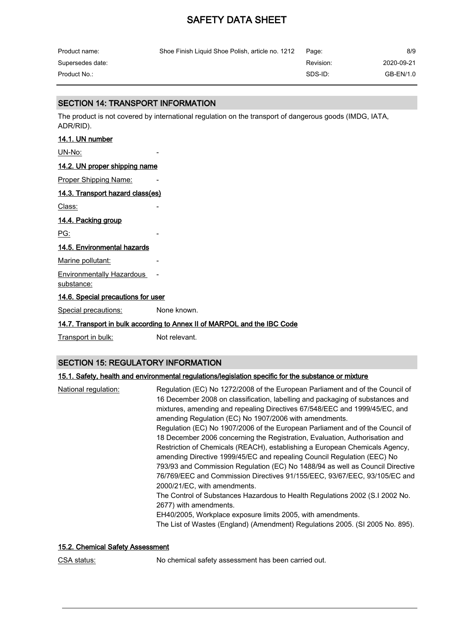| Product name:    | Shoe Finish Liquid Shoe Polish, article no. 1212 | Page:     | 8/9        |
|------------------|--------------------------------------------------|-----------|------------|
| Supersedes date: |                                                  | Revision: | 2020-09-21 |
| Product No.:     |                                                  | SDS-ID:   | GB-EN/1.0  |

### SECTION 14: TRANSPORT INFORMATION

The product is not covered by international regulation on the transport of dangerous goods (IMDG, IATA, ADR/RID).

#### 14.1. UN number

UN-No:

#### 14.2. UN proper shipping name

Proper Shipping Name:

#### 14.3. Transport hazard class(es)

Class:

### 14.4. Packing group

PG:

### 14.5. Environmental hazards

Marine pollutant:

### Environmentally Hazardous -

substance:

#### 14.6. Special precautions for user

Special precautions: None known.

### 14.7. Transport in bulk according to Annex II of MARPOL and the IBC Code

Transport in bulk: Not relevant.

### SECTION 15: REGULATORY INFORMATION

### 15.1. Safety, health and environmental regulations/legislation specific for the substance or mixture

| National regulation: | Regulation (EC) No 1272/2008 of the European Parliament and of the Council of<br>16 December 2008 on classification, labelling and packaging of substances and<br>mixtures, amending and repealing Directives 67/548/EEC and 1999/45/EC, and<br>amending Regulation (EC) No 1907/2006 with amendments.<br>Regulation (EC) No 1907/2006 of the European Parliament and of the Council of<br>18 December 2006 concerning the Registration, Evaluation, Authorisation and<br>Restriction of Chemicals (REACH), establishing a European Chemicals Agency,<br>amending Directive 1999/45/EC and repealing Council Regulation (EEC) No<br>793/93 and Commission Regulation (EC) No 1488/94 as well as Council Directive<br>76/769/EEC and Commission Directives 91/155/EEC, 93/67/EEC, 93/105/EC and<br>2000/21/EC, with amendments.<br>The Control of Substances Hazardous to Health Regulations 2002 (S.I 2002 No.<br>2677) with amendments.<br>EH40/2005, Workplace exposure limits 2005, with amendments. |
|----------------------|---------------------------------------------------------------------------------------------------------------------------------------------------------------------------------------------------------------------------------------------------------------------------------------------------------------------------------------------------------------------------------------------------------------------------------------------------------------------------------------------------------------------------------------------------------------------------------------------------------------------------------------------------------------------------------------------------------------------------------------------------------------------------------------------------------------------------------------------------------------------------------------------------------------------------------------------------------------------------------------------------------|
|                      | The List of Wastes (England) (Amendment) Regulations 2005. (SI 2005 No. 895).                                                                                                                                                                                                                                                                                                                                                                                                                                                                                                                                                                                                                                                                                                                                                                                                                                                                                                                           |

### 15.2. Chemical Safety Assessment

CSA status: No chemical safety assessment has been carried out.